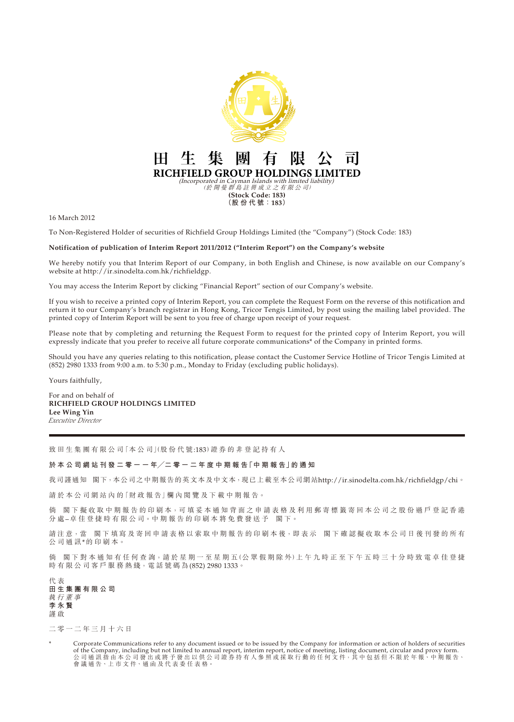

16 March 2012

To Non-Registered Holder of securities of Richfield Group Holdings Limited (the "Company") (Stock Code: 183)

## **Notification of publication of Interim Report 2011/2012 ("Interim Report") on the Company's website**

We hereby notify you that Interim Report of our Company, in both English and Chinese, is now available on our Company's website at http://ir.sinodelta.com.hk/richfieldgp.

You may access the Interim Report by clicking "Financial Report" section of our Company's website.

If you wish to receive a printed copy of Interim Report, you can complete the Request Form on the reverse of this notification and return it to our Company's branch registrar in Hong Kong, Tricor Tengis Limited, by post using the mailing label provided. The printed copy of Interim Report will be sent to you free of charge upon receipt of your request.

Please note that by completing and returning the Request Form to request for the printed copy of Interim Report, you will expressly indicate that you prefer to receive all future corporate communications\* of the Company in printed forms.

Should you have any queries relating to this notification, please contact the Customer Service Hotline of Tricor Tengis Limited at (852) 2980 1333 from 9:00 a.m. to 5:30 p.m., Monday to Friday (excluding public holidays).

Yours faithfully,

For and on behalf of **RICHFIELD GROUP HOLDINGS LIMITED Lee Wing Yin** *Executive Director*

致 田 生 集 團 有 限 公 司 「本 公 司」(股 份 代 號:183) 證 券 的 非 登 記 持 有 人

## **於 本 公 司 網 站 刊 發 二 零 一 一 年╱二 零 一 二 年 度 中 期 報 告「中 期 報 告」的 通 知**

我司謹通知 閣下,本公司之中期報告的英文本及中文本,現已上載至本公司網站http://ir.sinodelta.com.hk/richfieldgp/chi。

請於本公司網站內的「財政報告」欄內閲覽及下載中期報告。

倘 閣下 擬 收 取 中 期 報 告 的 印 刷 本, 可 填 妥 本 通 知 背 面 之 申 請 表 格 及 利 用 郵 寄 標 籤 寄 回 本 公 司 之 股 份 過 戶 登 記 香 港 分處–卓佳登捷時有限公司。中期報告的印刷本將免費發送予 閣下。

請注意,當 閣下填寫及寄回申請表格以索取中期報告的印刷本後,即表示 閣下確認擬收取本公司日後刊發的所有 公司通訊\*的 印 刷 本。

倘 閣下對本通知有任何查詢,請於星期一至星期五(公眾假期除外)上午九時正至下午五時三十分時致電卓佳登捷 時有限公司客戶服務熱綫,電話號碼為(852) 2980 1333。

代 表 **田生集團有限公司** 執行董事 **李永賢** 謹 啟

二零一二年三月十六日

Corporate Communications refer to any document issued or to be issued by the Company for information or action of holders of securities of the Company, including but not limited to annual report, interim report, notice of meeting, listing document, circular and proxy form. 公 司 通 訊 指 由 本 公 司 發 出 或 將 予 發 出 以 供 公 司 證 券 持 有 人 參 照 或 採 取 行 動 的 任 何 文 件,其 中 包 括 但 不 限 於 年 報、中 期 報 告、 會 議 通 告、上 市 文 件、通 函 及 代 表 委 任 表 格。